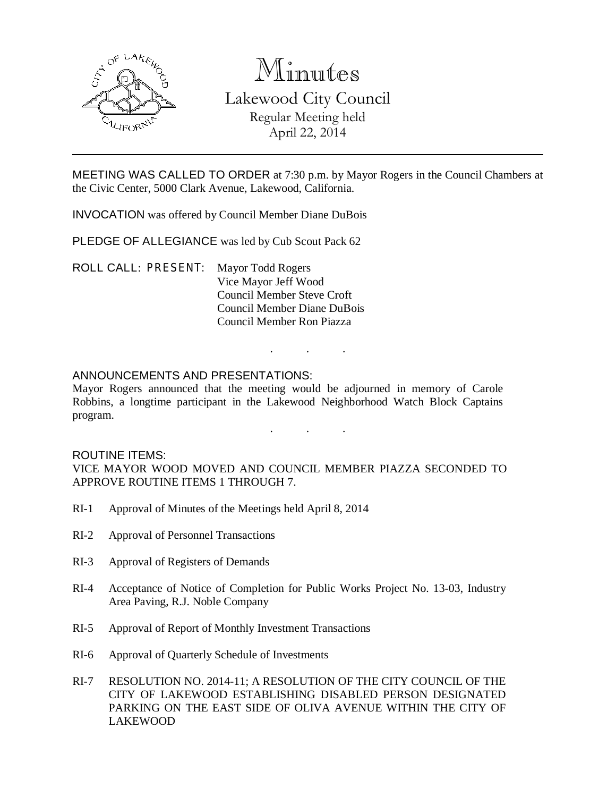

# Minutes Lakewood City Council Regular Meeting held April 22, 2014

MEETING WAS CALLED TO ORDER at 7:30 p.m. by Mayor Rogers in the Council Chambers at the Civic Center, 5000 Clark Avenue, Lakewood, California.

INVOCATION was offered by Council Member Diane DuBois

PLEDGE OF ALLEGIANCE was led by Cub Scout Pack 62

ROLL CALL: PRESENT: Mayor Todd Rogers Vice Mayor Jeff Wood Council Member Steve Croft Council Member Diane DuBois Council Member Ron Piazza

### ANNOUNCEMENTS AND PRESENTATIONS:

Mayor Rogers announced that the meeting would be adjourned in memory of Carole Robbins, a longtime participant in the Lakewood Neighborhood Watch Block Captains program.

. . .

. . .

#### ROUTINE ITEMS:

VICE MAYOR WOOD MOVED AND COUNCIL MEMBER PIAZZA SECONDED TO APPROVE ROUTINE ITEMS 1 THROUGH 7.

- RI-1 Approval of Minutes of the Meetings held April 8, 2014
- RI-2 Approval of Personnel Transactions
- RI-3 Approval of Registers of Demands
- RI-4 Acceptance of Notice of Completion for Public Works Project No. 13-03, Industry Area Paving, R.J. Noble Company
- RI-5 Approval of Report of Monthly Investment Transactions
- RI-6 Approval of Quarterly Schedule of Investments
- RI-7 RESOLUTION NO. 2014-11; A RESOLUTION OF THE CITY COUNCIL OF THE CITY OF LAKEWOOD ESTABLISHING DISABLED PERSON DESIGNATED PARKING ON THE EAST SIDE OF OLIVA AVENUE WITHIN THE CITY OF LAKEWOOD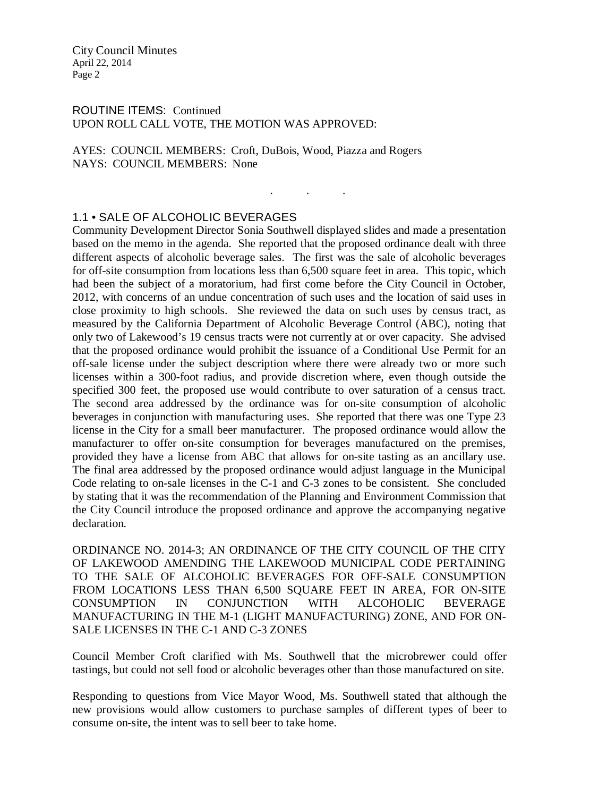ROUTINE ITEMS: Continued UPON ROLL CALL VOTE, THE MOTION WAS APPROVED:

AYES: COUNCIL MEMBERS: Croft, DuBois, Wood, Piazza and Rogers NAYS: COUNCIL MEMBERS: None

#### 1.1 • SALE OF ALCOHOLIC BEVERAGES

Community Development Director Sonia Southwell displayed slides and made a presentation based on the memo in the agenda. She reported that the proposed ordinance dealt with three different aspects of alcoholic beverage sales. The first was the sale of alcoholic beverages for off-site consumption from locations less than 6,500 square feet in area. This topic, which had been the subject of a moratorium, had first come before the City Council in October, 2012, with concerns of an undue concentration of such uses and the location of said uses in close proximity to high schools. She reviewed the data on such uses by census tract, as measured by the California Department of Alcoholic Beverage Control (ABC), noting that only two of Lakewood's 19 census tracts were not currently at or over capacity. She advised that the proposed ordinance would prohibit the issuance of a Conditional Use Permit for an off-sale license under the subject description where there were already two or more such licenses within a 300-foot radius, and provide discretion where, even though outside the specified 300 feet, the proposed use would contribute to over saturation of a census tract. The second area addressed by the ordinance was for on-site consumption of alcoholic beverages in conjunction with manufacturing uses. She reported that there was one Type 23 license in the City for a small beer manufacturer. The proposed ordinance would allow the manufacturer to offer on-site consumption for beverages manufactured on the premises, provided they have a license from ABC that allows for on-site tasting as an ancillary use. The final area addressed by the proposed ordinance would adjust language in the Municipal Code relating to on-sale licenses in the C-1 and C-3 zones to be consistent. She concluded by stating that it was the recommendation of the Planning and Environment Commission that the City Council introduce the proposed ordinance and approve the accompanying negative declaration.

. . .

ORDINANCE NO. 2014-3; AN ORDINANCE OF THE CITY COUNCIL OF THE CITY OF LAKEWOOD AMENDING THE LAKEWOOD MUNICIPAL CODE PERTAINING TO THE SALE OF ALCOHOLIC BEVERAGES FOR OFF-SALE CONSUMPTION FROM LOCATIONS LESS THAN 6,500 SQUARE FEET IN AREA, FOR ON-SITE CONSUMPTION IN CONJUNCTION WITH ALCOHOLIC BEVERAGE MANUFACTURING IN THE M-1 (LIGHT MANUFACTURING) ZONE, AND FOR ON-SALE LICENSES IN THE C-1 AND C-3 ZONES

Council Member Croft clarified with Ms. Southwell that the microbrewer could offer tastings, but could not sell food or alcoholic beverages other than those manufactured on site.

Responding to questions from Vice Mayor Wood, Ms. Southwell stated that although the new provisions would allow customers to purchase samples of different types of beer to consume on-site, the intent was to sell beer to take home.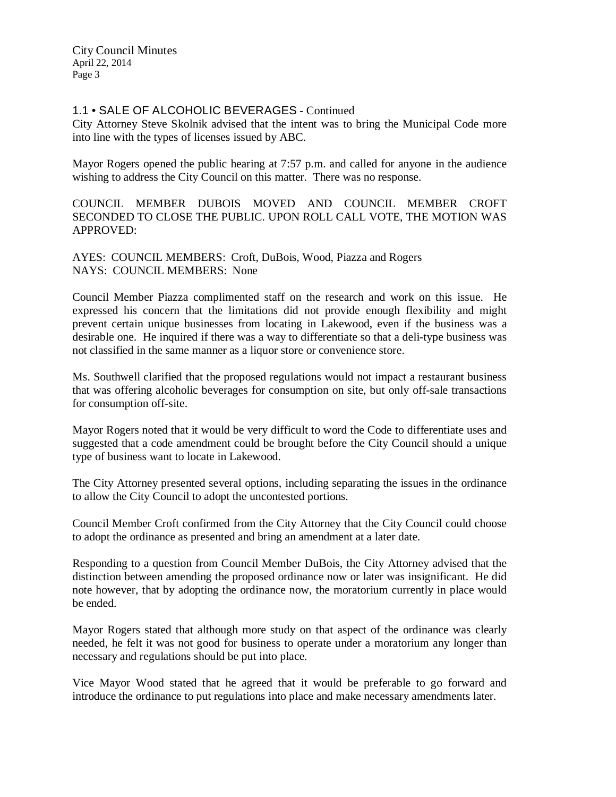# 1.1 • SALE OF ALCOHOLIC BEVERAGES - Continued

City Attorney Steve Skolnik advised that the intent was to bring the Municipal Code more into line with the types of licenses issued by ABC.

Mayor Rogers opened the public hearing at 7:57 p.m. and called for anyone in the audience wishing to address the City Council on this matter. There was no response.

COUNCIL MEMBER DUBOIS MOVED AND COUNCIL MEMBER CROFT SECONDED TO CLOSE THE PUBLIC. UPON ROLL CALL VOTE, THE MOTION WAS APPROVED:

AYES: COUNCIL MEMBERS: Croft, DuBois, Wood, Piazza and Rogers NAYS: COUNCIL MEMBERS: None

Council Member Piazza complimented staff on the research and work on this issue. He expressed his concern that the limitations did not provide enough flexibility and might prevent certain unique businesses from locating in Lakewood, even if the business was a desirable one. He inquired if there was a way to differentiate so that a deli-type business was not classified in the same manner as a liquor store or convenience store.

Ms. Southwell clarified that the proposed regulations would not impact a restaurant business that was offering alcoholic beverages for consumption on site, but only off-sale transactions for consumption off-site.

Mayor Rogers noted that it would be very difficult to word the Code to differentiate uses and suggested that a code amendment could be brought before the City Council should a unique type of business want to locate in Lakewood.

The City Attorney presented several options, including separating the issues in the ordinance to allow the City Council to adopt the uncontested portions.

Council Member Croft confirmed from the City Attorney that the City Council could choose to adopt the ordinance as presented and bring an amendment at a later date.

Responding to a question from Council Member DuBois, the City Attorney advised that the distinction between amending the proposed ordinance now or later was insignificant. He did note however, that by adopting the ordinance now, the moratorium currently in place would be ended.

Mayor Rogers stated that although more study on that aspect of the ordinance was clearly needed, he felt it was not good for business to operate under a moratorium any longer than necessary and regulations should be put into place.

Vice Mayor Wood stated that he agreed that it would be preferable to go forward and introduce the ordinance to put regulations into place and make necessary amendments later.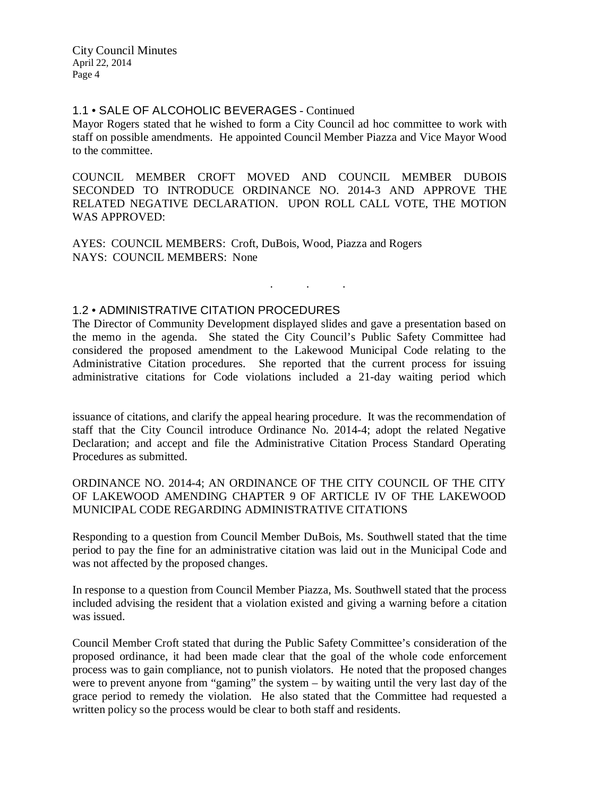#### 1.1 • SALE OF ALCOHOLIC BEVERAGES - Continued

Mayor Rogers stated that he wished to form a City Council ad hoc committee to work with staff on possible amendments. He appointed Council Member Piazza and Vice Mayor Wood to the committee.

COUNCIL MEMBER CROFT MOVED AND COUNCIL MEMBER DUBOIS SECONDED TO INTRODUCE ORDINANCE NO. 2014-3 AND APPROVE THE RELATED NEGATIVE DECLARATION. UPON ROLL CALL VOTE, THE MOTION WAS APPROVED:

AYES: COUNCIL MEMBERS: Croft, DuBois, Wood, Piazza and Rogers NAYS: COUNCIL MEMBERS: None

### 1.2 • ADMINISTRATIVE CITATION PROCEDURES

The Director of Community Development displayed slides and gave a presentation based on the memo in the agenda. She stated the City Council's Public Safety Committee had considered the proposed amendment to the Lakewood Municipal Code relating to the Administrative Citation procedures. She reported that the current process for issuing administrative citations for Code violations included a 21-day waiting period which

. . .

issuance of citations, and clarify the appeal hearing procedure. It was the recommendation of staff that the City Council introduce Ordinance No. 2014-4; adopt the related Negative Declaration; and accept and file the Administrative Citation Process Standard Operating Procedures as submitted.

ORDINANCE NO. 2014-4; AN ORDINANCE OF THE CITY COUNCIL OF THE CITY OF LAKEWOOD AMENDING CHAPTER 9 OF ARTICLE IV OF THE LAKEWOOD MUNICIPAL CODE REGARDING ADMINISTRATIVE CITATIONS

Responding to a question from Council Member DuBois, Ms. Southwell stated that the time period to pay the fine for an administrative citation was laid out in the Municipal Code and was not affected by the proposed changes.

In response to a question from Council Member Piazza, Ms. Southwell stated that the process included advising the resident that a violation existed and giving a warning before a citation was issued.

Council Member Croft stated that during the Public Safety Committee's consideration of the proposed ordinance, it had been made clear that the goal of the whole code enforcement process was to gain compliance, not to punish violators. He noted that the proposed changes were to prevent anyone from "gaming" the system – by waiting until the very last day of the grace period to remedy the violation. He also stated that the Committee had requested a written policy so the process would be clear to both staff and residents.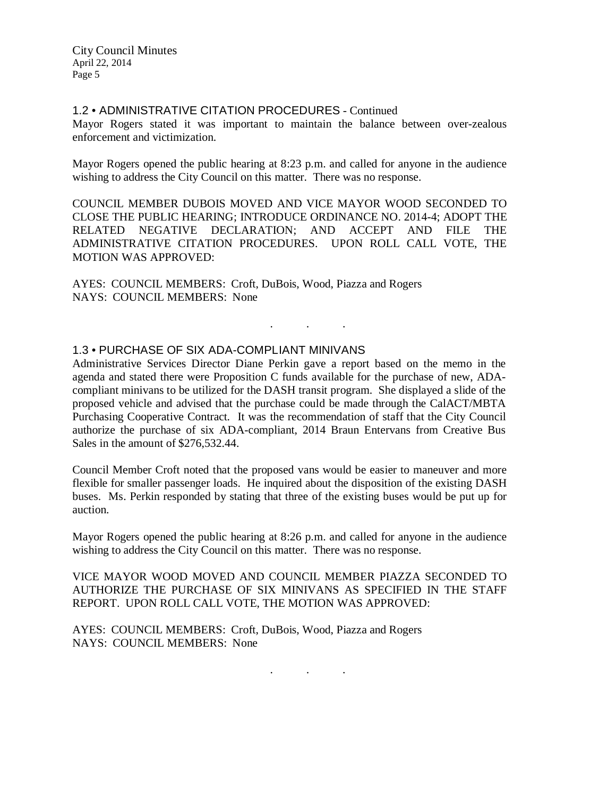# 1.2 • ADMINISTRATIVE CITATION PROCEDURES - Continued

Mayor Rogers stated it was important to maintain the balance between over-zealous enforcement and victimization.

Mayor Rogers opened the public hearing at 8:23 p.m. and called for anyone in the audience wishing to address the City Council on this matter. There was no response.

COUNCIL MEMBER DUBOIS MOVED AND VICE MAYOR WOOD SECONDED TO CLOSE THE PUBLIC HEARING; INTRODUCE ORDINANCE NO. 2014-4; ADOPT THE RELATED NEGATIVE DECLARATION; AND ACCEPT AND FILE THE ADMINISTRATIVE CITATION PROCEDURES. UPON ROLL CALL VOTE, THE MOTION WAS APPROVED:

AYES: COUNCIL MEMBERS: Croft, DuBois, Wood, Piazza and Rogers NAYS: COUNCIL MEMBERS: None

### 1.3 • PURCHASE OF SIX ADA-COMPLIANT MINIVANS

Administrative Services Director Diane Perkin gave a report based on the memo in the agenda and stated there were Proposition C funds available for the purchase of new, ADAcompliant minivans to be utilized for the DASH transit program. She displayed a slide of the proposed vehicle and advised that the purchase could be made through the CalACT/MBTA Purchasing Cooperative Contract. It was the recommendation of staff that the City Council authorize the purchase of six ADA-compliant, 2014 Braun Entervans from Creative Bus Sales in the amount of \$276,532.44.

. . .

Council Member Croft noted that the proposed vans would be easier to maneuver and more flexible for smaller passenger loads. He inquired about the disposition of the existing DASH buses. Ms. Perkin responded by stating that three of the existing buses would be put up for auction.

Mayor Rogers opened the public hearing at 8:26 p.m. and called for anyone in the audience wishing to address the City Council on this matter. There was no response.

VICE MAYOR WOOD MOVED AND COUNCIL MEMBER PIAZZA SECONDED TO AUTHORIZE THE PURCHASE OF SIX MINIVANS AS SPECIFIED IN THE STAFF REPORT. UPON ROLL CALL VOTE, THE MOTION WAS APPROVED:

AYES: COUNCIL MEMBERS: Croft, DuBois, Wood, Piazza and Rogers NAYS: COUNCIL MEMBERS: None

. . .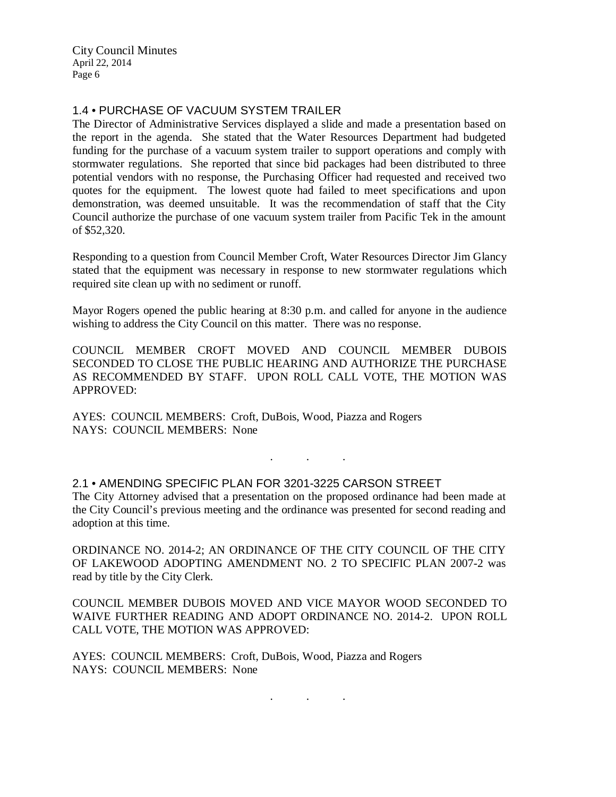# 1.4 • PURCHASE OF VACUUM SYSTEM TRAILER

The Director of Administrative Services displayed a slide and made a presentation based on the report in the agenda. She stated that the Water Resources Department had budgeted funding for the purchase of a vacuum system trailer to support operations and comply with stormwater regulations. She reported that since bid packages had been distributed to three potential vendors with no response, the Purchasing Officer had requested and received two quotes for the equipment. The lowest quote had failed to meet specifications and upon demonstration, was deemed unsuitable. It was the recommendation of staff that the City Council authorize the purchase of one vacuum system trailer from Pacific Tek in the amount of \$52,320.

Responding to a question from Council Member Croft, Water Resources Director Jim Glancy stated that the equipment was necessary in response to new stormwater regulations which required site clean up with no sediment or runoff.

Mayor Rogers opened the public hearing at 8:30 p.m. and called for anyone in the audience wishing to address the City Council on this matter. There was no response.

COUNCIL MEMBER CROFT MOVED AND COUNCIL MEMBER DUBOIS SECONDED TO CLOSE THE PUBLIC HEARING AND AUTHORIZE THE PURCHASE AS RECOMMENDED BY STAFF. UPON ROLL CALL VOTE, THE MOTION WAS APPROVED:

. . .

AYES: COUNCIL MEMBERS: Croft, DuBois, Wood, Piazza and Rogers NAYS: COUNCIL MEMBERS: None

2.1 • AMENDING SPECIFIC PLAN FOR 3201-3225 CARSON STREET The City Attorney advised that a presentation on the proposed ordinance had been made at the City Council's previous meeting and the ordinance was presented for second reading and adoption at this time.

ORDINANCE NO. 2014-2; AN ORDINANCE OF THE CITY COUNCIL OF THE CITY OF LAKEWOOD ADOPTING AMENDMENT NO. 2 TO SPECIFIC PLAN 2007-2 was read by title by the City Clerk.

COUNCIL MEMBER DUBOIS MOVED AND VICE MAYOR WOOD SECONDED TO WAIVE FURTHER READING AND ADOPT ORDINANCE NO. 2014-2. UPON ROLL CALL VOTE, THE MOTION WAS APPROVED:

. . .

AYES: COUNCIL MEMBERS: Croft, DuBois, Wood, Piazza and Rogers NAYS: COUNCIL MEMBERS: None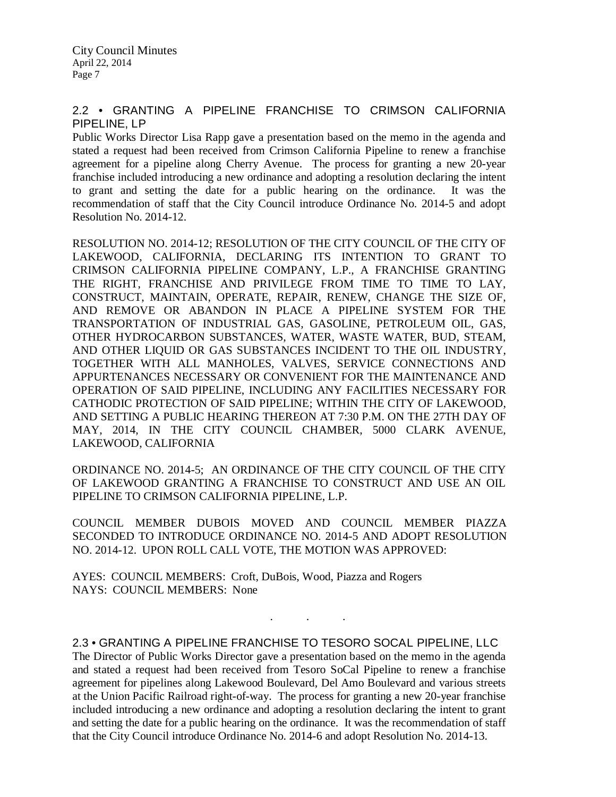# 2.2 • GRANTING A PIPELINE FRANCHISE TO CRIMSON CALIFORNIA PIPELINE, LP

Public Works Director Lisa Rapp gave a presentation based on the memo in the agenda and stated a request had been received from Crimson California Pipeline to renew a franchise agreement for a pipeline along Cherry Avenue. The process for granting a new 20-year franchise included introducing a new ordinance and adopting a resolution declaring the intent to grant and setting the date for a public hearing on the ordinance. It was the recommendation of staff that the City Council introduce Ordinance No. 2014-5 and adopt Resolution No. 2014-12.

RESOLUTION NO. 2014-12; RESOLUTION OF THE CITY COUNCIL OF THE CITY OF LAKEWOOD, CALIFORNIA, DECLARING ITS INTENTION TO GRANT TO CRIMSON CALIFORNIA PIPELINE COMPANY, L.P., A FRANCHISE GRANTING THE RIGHT, FRANCHISE AND PRIVILEGE FROM TIME TO TIME TO LAY, CONSTRUCT, MAINTAIN, OPERATE, REPAIR, RENEW, CHANGE THE SIZE OF, AND REMOVE OR ABANDON IN PLACE A PIPELINE SYSTEM FOR THE TRANSPORTATION OF INDUSTRIAL GAS, GASOLINE, PETROLEUM OIL, GAS, OTHER HYDROCARBON SUBSTANCES, WATER, WASTE WATER, BUD, STEAM, AND OTHER LIQUID OR GAS SUBSTANCES INCIDENT TO THE OIL INDUSTRY, TOGETHER WITH ALL MANHOLES, VALVES, SERVICE CONNECTIONS AND APPURTENANCES NECESSARY OR CONVENIENT FOR THE MAINTENANCE AND OPERATION OF SAID PIPELINE, INCLUDING ANY FACILITIES NECESSARY FOR CATHODIC PROTECTION OF SAID PIPELINE; WITHIN THE CITY OF LAKEWOOD, AND SETTING A PUBLIC HEARING THEREON AT 7:30 P.M. ON THE 27TH DAY OF MAY, 2014, IN THE CITY COUNCIL CHAMBER, 5000 CLARK AVENUE, LAKEWOOD, CALIFORNIA

ORDINANCE NO. 2014-5; AN ORDINANCE OF THE CITY COUNCIL OF THE CITY OF LAKEWOOD GRANTING A FRANCHISE TO CONSTRUCT AND USE AN OIL PIPELINE TO CRIMSON CALIFORNIA PIPELINE, L.P.

COUNCIL MEMBER DUBOIS MOVED AND COUNCIL MEMBER PIAZZA SECONDED TO INTRODUCE ORDINANCE NO. 2014-5 AND ADOPT RESOLUTION NO. 2014-12. UPON ROLL CALL VOTE, THE MOTION WAS APPROVED:

AYES: COUNCIL MEMBERS: Croft, DuBois, Wood, Piazza and Rogers NAYS: COUNCIL MEMBERS: None

2.3 • GRANTING A PIPELINE FRANCHISE TO TESORO SOCAL PIPELINE, LLC

. . .

The Director of Public Works Director gave a presentation based on the memo in the agenda and stated a request had been received from Tesoro SoCal Pipeline to renew a franchise agreement for pipelines along Lakewood Boulevard, Del Amo Boulevard and various streets at the Union Pacific Railroad right-of-way. The process for granting a new 20-year franchise included introducing a new ordinance and adopting a resolution declaring the intent to grant and setting the date for a public hearing on the ordinance. It was the recommendation of staff that the City Council introduce Ordinance No. 2014-6 and adopt Resolution No. 2014-13.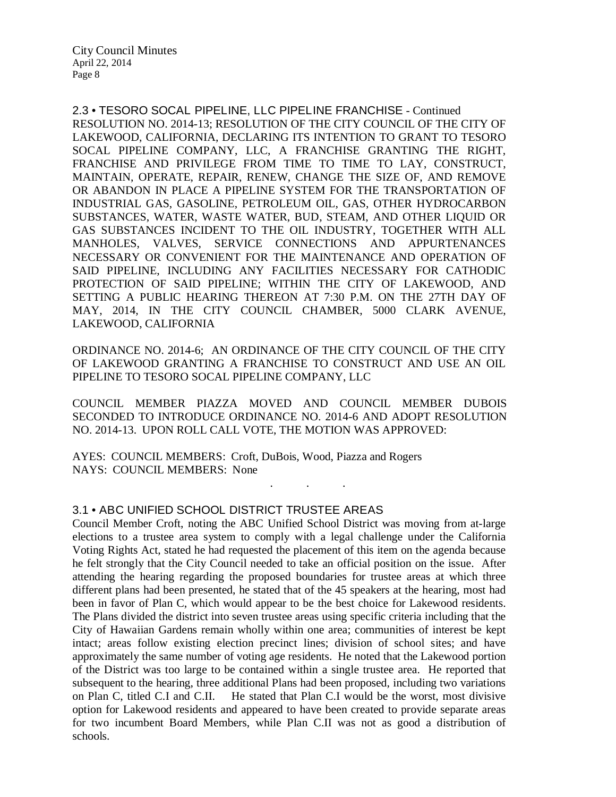2.3 • TESORO SOCAL PIPELINE, LLC PIPELINE FRANCHISE - Continued RESOLUTION NO. 2014-13; RESOLUTION OF THE CITY COUNCIL OF THE CITY OF LAKEWOOD, CALIFORNIA, DECLARING ITS INTENTION TO GRANT TO TESORO SOCAL PIPELINE COMPANY, LLC, A FRANCHISE GRANTING THE RIGHT, FRANCHISE AND PRIVILEGE FROM TIME TO TIME TO LAY, CONSTRUCT, MAINTAIN, OPERATE, REPAIR, RENEW, CHANGE THE SIZE OF, AND REMOVE OR ABANDON IN PLACE A PIPELINE SYSTEM FOR THE TRANSPORTATION OF INDUSTRIAL GAS, GASOLINE, PETROLEUM OIL, GAS, OTHER HYDROCARBON SUBSTANCES, WATER, WASTE WATER, BUD, STEAM, AND OTHER LIQUID OR GAS SUBSTANCES INCIDENT TO THE OIL INDUSTRY, TOGETHER WITH ALL MANHOLES, VALVES, SERVICE CONNECTIONS AND APPURTENANCES NECESSARY OR CONVENIENT FOR THE MAINTENANCE AND OPERATION OF SAID PIPELINE, INCLUDING ANY FACILITIES NECESSARY FOR CATHODIC PROTECTION OF SAID PIPELINE; WITHIN THE CITY OF LAKEWOOD, AND SETTING A PUBLIC HEARING THEREON AT 7:30 P.M. ON THE 27TH DAY OF MAY, 2014, IN THE CITY COUNCIL CHAMBER, 5000 CLARK AVENUE, LAKEWOOD, CALIFORNIA

ORDINANCE NO. 2014-6; AN ORDINANCE OF THE CITY COUNCIL OF THE CITY OF LAKEWOOD GRANTING A FRANCHISE TO CONSTRUCT AND USE AN OIL PIPELINE TO TESORO SOCAL PIPELINE COMPANY, LLC

COUNCIL MEMBER PIAZZA MOVED AND COUNCIL MEMBER DUBOIS SECONDED TO INTRODUCE ORDINANCE NO. 2014-6 AND ADOPT RESOLUTION NO. 2014-13. UPON ROLL CALL VOTE, THE MOTION WAS APPROVED:

. . .

AYES: COUNCIL MEMBERS: Croft, DuBois, Wood, Piazza and Rogers NAYS: COUNCIL MEMBERS: None

# 3.1 • ABC UNIFIED SCHOOL DISTRICT TRUSTEE AREAS

Council Member Croft, noting the ABC Unified School District was moving from at-large elections to a trustee area system to comply with a legal challenge under the California Voting Rights Act, stated he had requested the placement of this item on the agenda because he felt strongly that the City Council needed to take an official position on the issue. After attending the hearing regarding the proposed boundaries for trustee areas at which three different plans had been presented, he stated that of the 45 speakers at the hearing, most had been in favor of Plan C, which would appear to be the best choice for Lakewood residents. The Plans divided the district into seven trustee areas using specific criteria including that the City of Hawaiian Gardens remain wholly within one area; communities of interest be kept intact; areas follow existing election precinct lines; division of school sites; and have approximately the same number of voting age residents. He noted that the Lakewood portion of the District was too large to be contained within a single trustee area. He reported that subsequent to the hearing, three additional Plans had been proposed, including two variations on Plan C, titled C.I and C.II. He stated that Plan C.I would be the worst, most divisive option for Lakewood residents and appeared to have been created to provide separate areas for two incumbent Board Members, while Plan C.II was not as good a distribution of schools.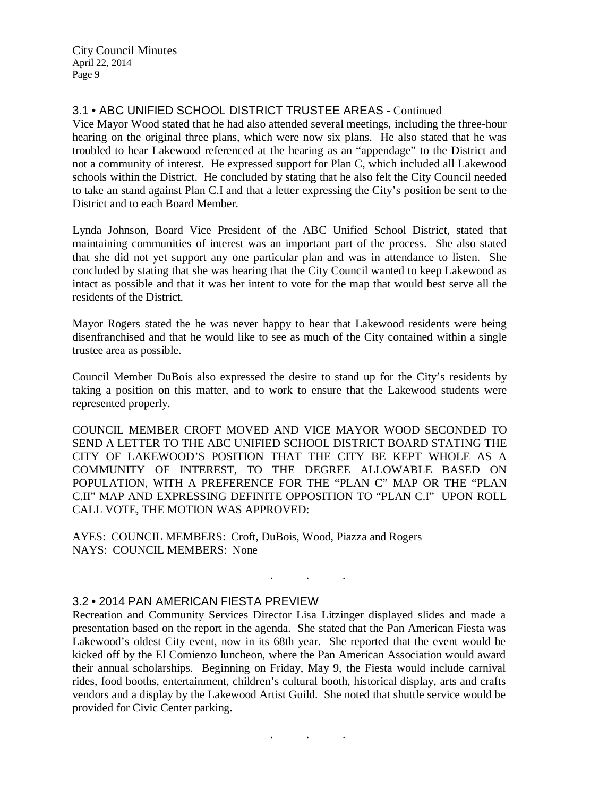# 3.1 • ABC UNIFIED SCHOOL DISTRICT TRUSTEE AREAS - Continued

Vice Mayor Wood stated that he had also attended several meetings, including the three-hour hearing on the original three plans, which were now six plans. He also stated that he was troubled to hear Lakewood referenced at the hearing as an "appendage" to the District and not a community of interest. He expressed support for Plan C, which included all Lakewood schools within the District. He concluded by stating that he also felt the City Council needed to take an stand against Plan C.I and that a letter expressing the City's position be sent to the District and to each Board Member.

Lynda Johnson, Board Vice President of the ABC Unified School District, stated that maintaining communities of interest was an important part of the process. She also stated that she did not yet support any one particular plan and was in attendance to listen. She concluded by stating that she was hearing that the City Council wanted to keep Lakewood as intact as possible and that it was her intent to vote for the map that would best serve all the residents of the District.

Mayor Rogers stated the he was never happy to hear that Lakewood residents were being disenfranchised and that he would like to see as much of the City contained within a single trustee area as possible.

Council Member DuBois also expressed the desire to stand up for the City's residents by taking a position on this matter, and to work to ensure that the Lakewood students were represented properly.

COUNCIL MEMBER CROFT MOVED AND VICE MAYOR WOOD SECONDED TO SEND A LETTER TO THE ABC UNIFIED SCHOOL DISTRICT BOARD STATING THE CITY OF LAKEWOOD'S POSITION THAT THE CITY BE KEPT WHOLE AS A COMMUNITY OF INTEREST, TO THE DEGREE ALLOWABLE BASED ON POPULATION, WITH A PREFERENCE FOR THE "PLAN C" MAP OR THE "PLAN C.II" MAP AND EXPRESSING DEFINITE OPPOSITION TO "PLAN C.I" UPON ROLL CALL VOTE, THE MOTION WAS APPROVED:

AYES: COUNCIL MEMBERS: Croft, DuBois, Wood, Piazza and Rogers NAYS: COUNCIL MEMBERS: None

#### 3.2 • 2014 PAN AMERICAN FIESTA PREVIEW

Recreation and Community Services Director Lisa Litzinger displayed slides and made a presentation based on the report in the agenda. She stated that the Pan American Fiesta was Lakewood's oldest City event, now in its 68th year. She reported that the event would be kicked off by the El Comienzo luncheon, where the Pan American Association would award their annual scholarships. Beginning on Friday, May 9, the Fiesta would include carnival rides, food booths, entertainment, children's cultural booth, historical display, arts and crafts vendors and a display by the Lakewood Artist Guild. She noted that shuttle service would be provided for Civic Center parking.

. . .

. . .